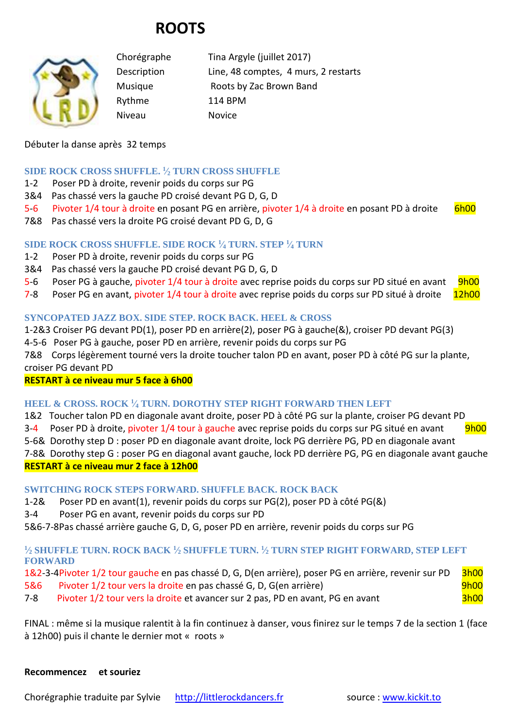# **ROOTS**



Chorégraphe Tina Argyle (juillet 2017) Description Line, 48 comptes, 4 murs, 2 restarts Musique Roots by Zac Brown Band Rythme 114 BPM Niveau Novice

## Débuter la danse après 32 temps

## **SIDE ROCK CROSS SHUFFLE. <sup>1</sup> ⁄<sup>2</sup> TURN CROSS SHUFFLE**

- 1-2 Poser PD à droite, revenir poids du corps sur PG
- 3&4 Pas chassé vers la gauche PD croisé devant PG D, G, D
- 5-6 Pivoter 1/4 tour à droite en posant PG en arrière, pivoter 1/4 à droite en posant PD à droite 6h00
- 7&8 Pas chassé vers la droite PG croisé devant PD G, D, G

## **SIDE ROCK CROSS SHUFFLE. SIDE ROCK <sup>1</sup> ⁄<sup>4</sup> TURN. STEP <sup>1</sup> ⁄<sup>4</sup> TURN**

- 1-2 Poser PD à droite, revenir poids du corps sur PG
- 3&4 Pas chassé vers la gauche PD croisé devant PG D, G, D
- 5-6 Poser PG à gauche, pivoter 1/4 tour à droite avec reprise poids du corps sur PD situé en avant 9h00
- 7-8 Poser PG en avant, pivoter 1/4 tour à droite avec reprise poids du corps sur PD situé à droite 12h00

## **SYNCOPATED JAZZ BOX. SIDE STEP. ROCK BACK. HEEL & CROSS**

1-2&3 Croiser PG devant PD(1), poser PD en arrière(2), poser PG à gauche(&), croiser PD devant PG(3)

4-5-6 Poser PG à gauche, poser PD en arrière, revenir poids du corps sur PG

7&8 Corps légèrement tourné vers la droite toucher talon PD en avant, poser PD à côté PG sur la plante, croiser PG devant PD

#### **RESTART à ce niveau mur 5 face à 6h00**

#### **HEEL & CROSS. ROCK <sup>1</sup> ⁄<sup>4</sup> TURN. DOROTHY STEP RIGHT FORWARD THEN LEFT**

1&2 Toucher talon PD en diagonale avant droite, poser PD à côté PG sur la plante, croiser PG devant PD

3-4 Poser PD à droite, pivoter 1/4 tour à gauche avec reprise poids du corps sur PG situé en avant 9h00

5-6& Dorothy step D : poser PD en diagonale avant droite, lock PG derrière PG, PD en diagonale avant

7-8& Dorothy step G : poser PG en diagonal avant gauche, lock PD derrière PG, PG en diagonale avant gauche **RESTART à ce niveau mur 2 face à 12h00** 

#### **SWITCHING ROCK STEPS FORWARD. SHUFFLE BACK. ROCK BACK**

1-2& Poser PD en avant(1), revenir poids du corps sur PG(2), poser PD à côté PG(&)

3-4 Poser PG en avant, revenir poids du corps sur PD

5&6-7-8Pas chassé arrière gauche G, D, G, poser PD en arrière, revenir poids du corps sur PG

## **1 ⁄<sup>2</sup> SHUFFLE TURN. ROCK BACK <sup>1</sup> ⁄<sup>2</sup> SHUFFLE TURN. <sup>1</sup> ⁄<sup>2</sup> TURN STEP RIGHT FORWARD, STEP LEFT FORWARD**

1&2-3-4Pivoter 1/2 tour gauche en pas chassé D, G, D(en arrière), poser PG en arrière, revenir sur PD 3h00 5&6 Pivoter 1/2 tour vers la droite en pas chassé G, D, G(en arrière) en une sous-

7-8 Pivoter 1/2 tour vers la droite et avancer sur 2 pas, PD en avant, PG en avant

FINAL : même si la musique ralentit à la fin continuez à danser, vous finirez sur le temps 7 de la section 1 (face à 12h00) puis il chante le dernier mot « roots »

#### **Recommencez et souriez**

Chorégraphie traduite par Sylvie [http://littlerockdancers.fr](http://littlerockdancers.fr/) source : [www.kickit.to](http://www.kickit.to/)